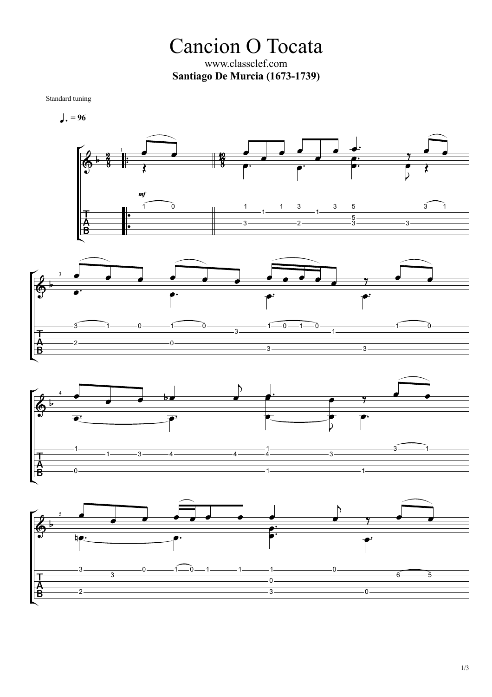Cancion O Tocata www.classclef.com **Santiago De Murcia (1673-1739)**

Standard tuning

 $\, \Box$  = 96







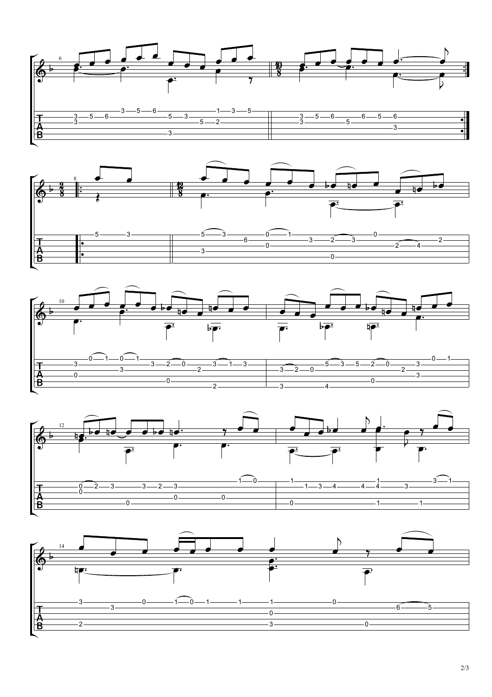